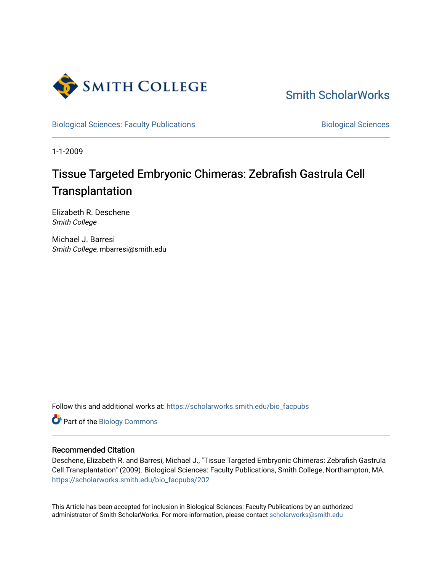

[Smith ScholarWorks](https://scholarworks.smith.edu/) 

[Biological Sciences: Faculty Publications](https://scholarworks.smith.edu/bio_facpubs) **Biological Sciences** Biological Sciences

1-1-2009

# Tissue Targeted Embryonic Chimeras: Zebrafish Gastrula Cell **Transplantation**

Elizabeth R. Deschene Smith College

Michael J. Barresi Smith College, mbarresi@smith.edu

Follow this and additional works at: [https://scholarworks.smith.edu/bio\\_facpubs](https://scholarworks.smith.edu/bio_facpubs?utm_source=scholarworks.smith.edu%2Fbio_facpubs%2F202&utm_medium=PDF&utm_campaign=PDFCoverPages)

Part of the [Biology Commons](http://network.bepress.com/hgg/discipline/41?utm_source=scholarworks.smith.edu%2Fbio_facpubs%2F202&utm_medium=PDF&utm_campaign=PDFCoverPages) 

## Recommended Citation

Deschene, Elizabeth R. and Barresi, Michael J., "Tissue Targeted Embryonic Chimeras: Zebrafish Gastrula Cell Transplantation" (2009). Biological Sciences: Faculty Publications, Smith College, Northampton, MA. [https://scholarworks.smith.edu/bio\\_facpubs/202](https://scholarworks.smith.edu/bio_facpubs/202?utm_source=scholarworks.smith.edu%2Fbio_facpubs%2F202&utm_medium=PDF&utm_campaign=PDFCoverPages)

This Article has been accepted for inclusion in Biological Sciences: Faculty Publications by an authorized administrator of Smith ScholarWorks. For more information, please contact [scholarworks@smith.edu](mailto:scholarworks@smith.edu)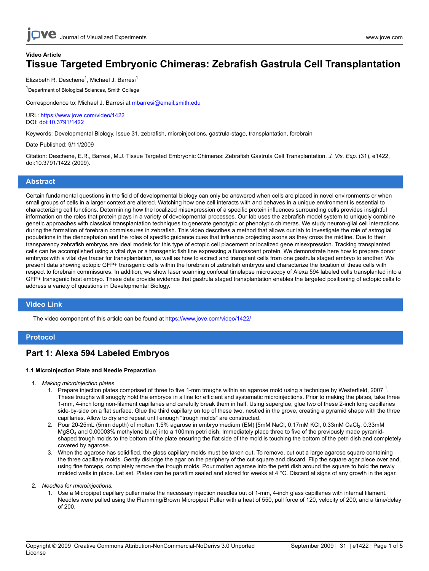# **Video Article Tissue Targeted Embryonic Chimeras: Zebrafish Gastrula Cell Transplantation**

Elizabeth R. Deschene<sup>1</sup>, Michael J. Barresi<sup>1</sup>

<sup>1</sup>Department of Biological Sciences, Smith College

Correspondence to: Michael J. Barresi at [mbarresi@email.smith.edu](mailto:mbarresi@email.smith.edu)

#### URL:<https://www.jove.com/video/1422> DOI: [doi:10.3791/1422](http://dx.doi.org/10.3791/1422)

Keywords: Developmental Biology, Issue 31, zebrafish, microinjections, gastrula-stage, transplantation, forebrain

#### Date Published: 9/11/2009

Citation: Deschene, E.R., Barresi, M.J. Tissue Targeted Embryonic Chimeras: Zebrafish Gastrula Cell Transplantation. *J. Vis. Exp.* (31), e1422, doi:10.3791/1422 (2009).

## **Abstract**

Certain fundamental questions in the field of developmental biology can only be answered when cells are placed in novel environments or when small groups of cells in a larger context are altered. Watching how one cell interacts with and behaves in a unique environment is essential to characterizing cell functions. Determining how the localized misexpression of a specific protein influences surrounding cells provides insightful information on the roles that protein plays in a variety of developmental processes. Our lab uses the zebrafish model system to uniquely combine genetic approaches with classical transplantation techniques to generate genotypic or phenotypic chimeras. We study neuron-glial cell interactions during the formation of forebrain commissures in zebrafish. This video describes a method that allows our lab to investigate the role of astroglial populations in the diencephalon and the roles of specific guidance cues that influence projecting axons as they cross the midline. Due to their transparency zebrafish embryos are ideal models for this type of ectopic cell placement or localized gene misexpression. Tracking transplanted cells can be accomplished using a vital dye or a transgenic fish line expressing a fluorescent protein. We demonstrate here how to prepare donor embryos with a vital dye tracer for transplantation, as well as how to extract and transplant cells from one gastrula staged embryo to another. We present data showing ectopic GFP+ transgenic cells within the forebrain of zebrafish embryos and characterize the location of these cells with respect to forebrain commissures. In addition, we show laser scanning confocal timelapse microscopy of Alexa 594 labeled cells transplanted into a GFP+ transgenic host embryo. These data provide evidence that gastrula staged transplantation enables the targeted positioning of ectopic cells to address a variety of questions in Developmental Biology.

### **Video Link**

The video component of this article can be found at <https://www.jove.com/video/1422/>

## **Protocol**

# **Part 1: Alexa 594 Labeled Embryos**

#### **1.1 Microinjection Plate and Needle Preparation**

- 1. *Making microinjection plates*
	- 1. Prepare injection plates comprised of three to five 1-mm troughs within an agarose mold using a technique by Westerfield, 2007<sup>1</sup>. These troughs will snuggly hold the embryos in a line for efficient and systematic microinjections. Prior to making the plates, take three 1-mm, 4-inch long non-filament capillaries and carefully break them in half. Using superglue, glue two of these 2-inch long capillaries side-by-side on a flat surface. Glue the third capillary on top of these two, nestled in the grove, creating a pyramid shape with the three capillaries. Allow to dry and repeat until enough "trough molds" are constructed.
	- 2. Pour 20-25mL (5mm depth) of molten 1.5% agarose in embryo medium (EM) [5mM NaCl, 0.17mM KCl, 0.33mM CaCl<sub>2</sub>, 0.33mM MgSO4 and 0.00003% methylene blue] into a 100mm petri dish. Immediately place three to five of the previously made pyramidshaped trough molds to the bottom of the plate ensuring the flat side of the mold is touching the bottom of the petri dish and completely covered by agarose.
	- 3. When the agarose has solidified, the glass capillary molds must be taken out. To remove, cut out a large agarose square containing the three capillary molds. Gently dislodge the agar on the periphery of the cut square and discard. Flip the square agar piece over and, using fine forceps, completely remove the trough molds. Pour molten agarose into the petri dish around the square to hold the newly molded wells in place. Let set. Plates can be parafilm sealed and stored for weeks at 4 °C. Discard at signs of any growth in the agar.

2. *Needles for microinjections.*

1. Use a Micropipet capillary puller make the necessary injection needles out of 1-mm, 4-inch glass capillaries with internal filament. Needles were pulled using the Flamming/Brown Micropipet Puller with a heat of 550, pull force of 120, velocity of 200, and a time/delay of 200.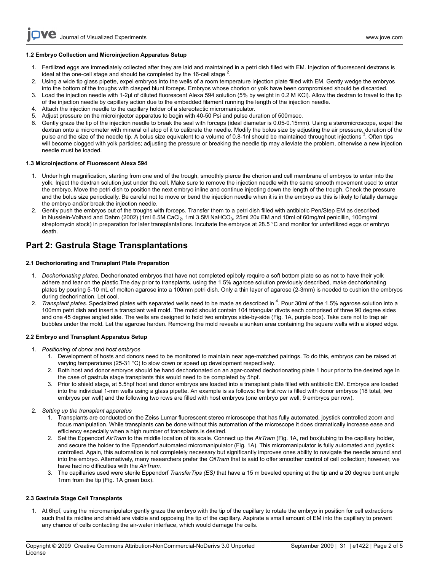#### **1.2 Embryo Collection and Microinjection Apparatus Setup**

- 1. Fertilized eggs are immediately collected after they are laid and maintained in a petri dish filled with EM. Injection of fluorescent dextrans is ideal at the one-cell stage and should be completed by the 16-cell stage  $^2$ .
- 2. Using a wide tip glass pipette, expel embryos into the wells of a room temperature injection plate filled with EM. Gently wedge the embryos into the bottom of the troughs with clasped blunt forceps. Embryos whose chorion or yolk have been compromised should be discarded.
- 3. Load the injection needle with 1-2µl of diluted fluorescent Alexa 594 solution (5% by weight in 0.2 M KCl). Allow the dextran to travel to the tip of the injection needle by capillary action due to the embedded filament running the length of the injection needle.
- 4. Attach the injection needle to the capillary holder of a stereotactic micromanipulator.
- 5. Adjust pressure on the microinjector apparatus to begin with 40-50 Psi and pulse duration of 500msec.
- 6. Gently graze the tip of the injection needle to break the seal with forceps (ideal diameter is 0.05-0.15mm). Using a steromicroscope, expel the dextran onto a micrometer with mineral oil atop of it to calibrate the needle. Modify the bolus size by adjusting the air pressure, duration of the pulse and the size of the needle tip. A bolus size equivalent to a volume of 0.8-1nl should be maintained throughout injections<sup>3</sup>. Often tips will become clogged with yolk particles; adjusting the pressure or breaking the needle tip may alleviate the problem, otherwise a new injection needle must be loaded.

#### **1.3 Microinjections of Fluorescent Alexa 594**

- 1. Under high magnification, starting from one end of the trough, smoothly pierce the chorion and cell membrane of embryos to enter into the yolk. Inject the dextran solution just under the cell. Make sure to remove the injection needle with the same smooth movement used to enter the embryo. Move the petri dish to position the next embryo inline and continue injecting down the length of the trough. Check the pressure and the bolus size periodically. Be careful not to move or bend the injection needle when it is in the embryo as this is likely to fatally damage the embryo and/or break the injection needle.
- 2. Gently push the embryos out of the troughs with forceps. Transfer them to a petri dish filled with antibiotic Pen/Step EM as described in Nusslein-Volhard and Dahm (2002) (1ml 6.5M CaCl<sub>2</sub>, 1ml 3.5M NaHCO<sub>3</sub>, 25ml 20x EM and 10ml of 60mg/ml penicillin, 100mg/ml streptomycin stock) in preparation for later transplantations. Incubate the embryos at 28.5 °C and monitor for unfertilized eggs or embryo death.

# **Part 2: Gastrula Stage Transplantations**

#### **2.1 Dechorionating and Transplant Plate Preparation**

- 1. *Dechorionating plates.* Dechorionated embryos that have not completed epiboly require a soft bottom plate so as not to have their yolk adhere and tear on the plastic.The day prior to transplants, using the 1.5% agarose solution previously described, make dechorionating plates by pouring 5-10 mL of molten agarose into a 100mm petri dish. Only a thin layer of agarose (2-3mm) is needed to cushion the embryos during dechorination. Let cool.
- 2. *Transplant plates.* Specialized plates with separated wells need to be made as described in <sup>4</sup> . Pour 30ml of the 1.5% agarose solution into a 100mm petri dish and insert a transplant well mold. The mold should contain 104 triangular divots each comprised of three 90 degree sides and one 45 degree angled side. The wells are designed to hold two embryos side-by-side (Fig. 1A, purple box). Take care not to trap air bubbles under the mold. Let the agarose harden. Removing the mold reveals a sunken area containing the square wells with a sloped edge.

#### **2.2 Embryo and Transplant Apparatus Setup**

- 1. *Positioning of donor and host embryos*
	- 1. Development of hosts and donors need to be monitored to maintain near age-matched pairings. To do this, embryos can be raised at varying temperatures (25-31 °C) to slow down or speed up development respectively.
	- 2. Both host and donor embryos should be hand dechorionated on an agar-coated dechorionating plate 1 hour prior to the desired age In the case of gastrula stage transplants this would need to be completed by 5hpf.
	- 3. Prior to shield stage, at 5.5hpf host and donor embryos are loaded into a transplant plate filled with antibiotic EM. Embryos are loaded into the individual 1-mm wells using a glass pipette. An example is as follows: the first row is filled with donor embryos (18 total, two embryos per well) and the following two rows are filled with host embryos (one embryo per well, 9 embryos per row).

#### 2. *Setting up the transplant apparatus*

- 1. Transplants are conducted on the Zeiss Lumar fluorescent stereo microscope that has fully automated, joystick controlled zoom and focus manipulation. While transplants can be done without this automation of the microscope it does dramatically increase ease and efficiency especially when a high number of transplants is desired.
- 2. Set the Eppendorf *AirTram* to the middle location of its scale. Connect up the *AirTram* (Fig. 1A, red box)tubing to the capillary holder, and secure the holder to the Eppendorf automated micromanipulator (Fig. 1A). This micromanipulator is fully automated and joystick controlled. Again, this automation is not completely necessary but significantly improves ones ability to navigate the needle around and into the embryo. Alternatively, many researchers prefer the *OilTram* that is said to offer smoother control of cell collection; however, we have had no difficulties with the *AirTram.*
- 3. The capillaries used were sterile Eppendorf *TransferTips (ES)* that have a 15 m beveled opening at the tip and a 20 degree bent angle 1mm from the tip (Fig. 1A green box).

#### **2.3 Gastrula Stage Cell Transplants**

1. At 6hpf, using the micromanipulator gently graze the embryo with the tip of the capillary to rotate the embryo in position for cell extractions such that its midline and shield are visible and opposing the tip of the capillary. Aspirate a small amount of EM into the capillary to prevent any chance of cells contacting the air-water interface, which would damage the cells.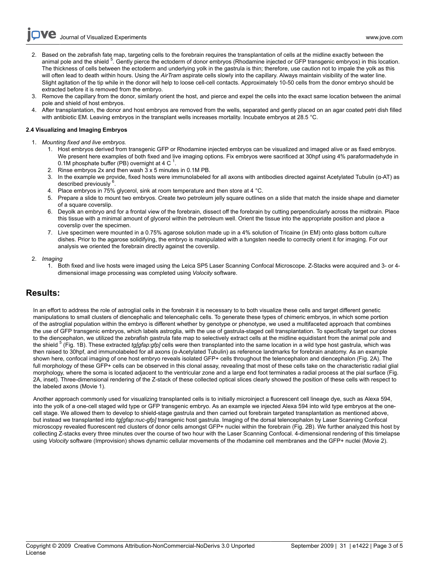**Dve** Journal of Visualized [Experiments](https://www.jove.com) [www.jove.com](https://www.jove.com)

- 2. Based on the zebrafish fate map, targeting cells to the forebrain requires the transplantation of cells at the midline exactly between the animal pole and the shield <sup>5</sup>. Gently pierce the ectoderm of donor embryos (Rhodamine injected or GFP transgenic embryos) in this location. The thickness of cells between the ectoderm and underlying yolk in the gastrula is thin; therefore, use caution not to impale the yolk as this will often lead to death within hours. Using the *AirTram* aspirate cells slowly into the capillary. Always maintain visibility of the water line. Slight agitation of the tip while in the donor will help to loose cell-cell contacts. Approximately 10-50 cells from the donor embryo should be extracted before it is removed from the embryo.
- 3. Remove the capillary from the donor, similarly orient the host, and pierce and expel the cells into the exact same location between the animal pole and shield of host embryos.
- 4. After transplantation, the donor and host embryos are removed from the wells, separated and gently placed on an agar coated petri dish filled with antibiotic EM. Leaving embryos in the transplant wells increases mortality. Incubate embryos at 28.5 °C.

#### **2.4 Visualizing and Imaging Embryos**

- 1. *Mounting fixed and live embryos.*
	- 1. Host embryos derived from transgenic GFP or Rhodamine injected embryos can be visualized and imaged alive or as fixed embryos. We present here examples of both fixed and live imaging options. Fix embryos were sacrificed at 30hpf using 4% paraformadehyde in 0.1M phosphate buffer (PB) overnight at 4 C  $^1$ .
	- 2. Rinse embryos 2x and then wash 3 x 5 minutes in 0.1M PB.
	- 3. In the example we provide, fixed hosts were immunolabeled for all axons with antibodies directed against Acetylated Tubulin (α-AT) as described previously <sup>6</sup>.
	- 4. Place embryos in 75% glycerol, sink at room temperature and then store at 4 °C.
	- 5. Prepare a slide to mount two embryos. Create two petroleum jelly square outlines on a slide that match the inside shape and diameter of a square coverslip.
	- 6. Deyolk an embryo and for a frontal view of the forebrain, dissect off the forebrain by cutting perpendicularly across the midbrain. Place this tissue with a minimal amount of glycerol within the petroleum well. Orient the tissue into the appropriate position and place a coverslip over the specimen.
	- 7. Live specimen were mounted in a 0.75% agarose solution made up in a 4% solution of Tricaine (in EM) onto glass bottom culture dishes. Prior to the agarose solidifying, the embryo is manipulated with a tungsten needle to correctly orient it for imaging. For our analysis we oriented the forebrain directly against the coverslip.

#### 2. *Imaging*

1. Both fixed and live hosts were imaged using the Leica SP5 Laser Scanning Confocal Microscope. Z-Stacks were acquired and 3- or 4 dimensional image processing was completed using *Volocity* software.

# **Results:**

In an effort to address the role of astroglial cells in the forebrain it is necessary to to both visualize these cells and target different genetic manipulations to small clusters of diencephalic and telencephalic cells. To generate these types of chimeric embryos, in which some portion of the astroglial population within the embryo is different whether by genotype or phenotype, we used a multifaceted approach that combines the use of GFP transgenic embryos, which labels astroglia, with the use of gastrula-staged cell transplantation. To specifically target our clones to the diencephalon, we utilized the zebrafish gastrula fate map to selectively extract cells at the midline equidistant from the animal pole and the shield <sup>5</sup> (Fig. 1B). These extracted *tg[gfap:gfp]* cells were then transplanted into the same location in a wild type host gastrula, which was then raised to 30hpf, and immunolabeled for all axons (α-Acetylated Tubulin) as reference landmarks for forebrain anatomy. As an example shown here, confocal imaging of one host embryo reveals isolated GFP+ cells throughout the telencephalon and diencephalon (Fig. 2A). The full morphology of these GFP+ cells can be observed in this clonal assay, revealing that most of these cells take on the characteristic radial glial morphology, where the soma is located adjacent to the ventricular zone and a large end foot terminates a radial process at the pial surface (Fig. 2A, inset). Three-dimensional rendering of the Z-stack of these collected optical slices clearly showed the position of these cells with respect to the labeled axons (Movie 1).

Another approach commonly used for visualizing transplanted cells is to initially microinject a fluorescent cell lineage dye, such as Alexa 594, into the yolk of a one-cell staged wild type or GFP transgenic embryo. As an example we injected Alexa 594 into wild type embryos at the onecell stage. We allowed them to develop to shield-stage gastrula and then carried out forebrain targeted transplantation as mentioned above, but instead we transplanted into *tg[gfap:nuc-gfp]* transgenic host gastrula. Imaging of the dorsal telencephalon by Laser Scanning Confocal microscopy revealed fluorescent red clusters of donor cells amongst GFP+ nuclei within the forebrain (Fig. 2B). We further analyzed this host by collecting Z-stacks every three minutes over the course of two hour with the Laser Scanning Confocal. 4-dimensional rendering of this timelapse using *Volocity* software (Improvision) shows dynamic cellular movements of the rhodamine cell membranes and the GFP+ nuclei (Movie 2).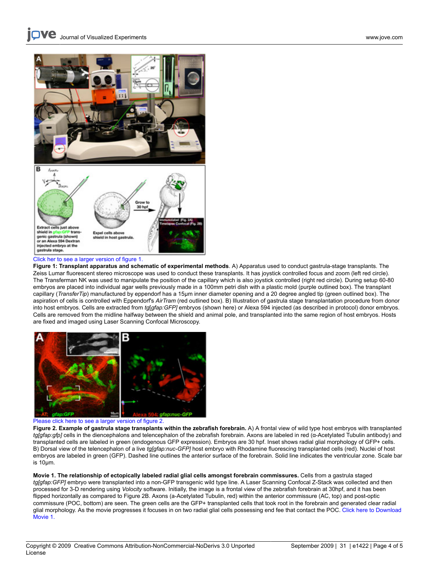

#### [Click her to see a larger version of figure 1.](http://www.jove.com/files/ftp_upload/1422/1422fig1.jpg)

**Figure 1: Transplant apparatus and schematic of experimental methods**. A) Apparatus used to conduct gastrula-stage transplants. The Zeiss Lumar fluorescent stereo microscope was used to conduct these transplants. It has joystick controlled focus and zoom (left red circle). The Transferman NK was used to manipulate the position of the capillary which is also joystick controlled (right red circle). During setup 60-80 embryos are placed into individual agar wells previously made in a 100mm petri dish with a plastic mold (purple outlined box). The transplant capillary (*TransferTip*) manufactured by eppendorf has a 15μm inner diameter opening and a 20 degree angled tip (green outlined box). The aspiration of cells is controlled with Eppendorf's *AirTram* (red outlined box). B) Illustration of gastrula stage transplantation procedure from donor into host embryos. Cells are extracted from *tg*[*gfap:GFP]* embryos (shown here) or Alexa 594 injected (as described in protocol) donor embryos. Cells are removed from the midline halfway between the shield and animal pole, and transplanted into the same region of host embryos. Hosts are fixed and imaged using Laser Scanning Confocal Microscopy.



#### [Please click here to see a larger version of figure 2.](http://www.jove.com/files/ftp_upload/1422/1422fig2.jpg)

**Figure 2. Example of gastrula stage transplants within the zebrafish forebrain.** A) A frontal view of wild type host embryos with transplanted *tg[gfap:gfp]* cells in the diencephalons and telencephalon of the zebrafish forebrain. Axons are labeled in red (α-Acetylated Tubulin antibody) and transplanted cells are labeled in green (endogenous GFP expression). Embryos are 30 hpf. Inset shows radial glial morphology of GFP+ cells. B) Dorsal view of the telencephalon of a live *tg[gfap:nuc-GFP]* host embryo with Rhodamine fluorescing transplanted cells (red). Nuclei of host embryos are labeled in green (GFP). Dashed line outlines the anterior surface of the forebrain. Solid line indicates the ventricular zone. Scale bar is 10μm.

**Movie 1. The relationship of ectopically labeled radial glial cells amongst forebrain commissures.** Cells from a gastrula staged *tg[gfap:GFP]* embryo were transplanted into a non-GFP transgenic wild type line. A Laser Scanning Confocal Z-Stack was collected and then processed for 3-D rendering using *Volocity* software. Initially, the image is a frontal view of the zebrafish forebrain at 30hpf, and it has been flipped horizontally as compared to Figure 2B. Axons (a-Acetylated Tubulin, red) within the anterior commissure (AC, top) and post-optic commissure (POC, bottom) are seen. The green cells are the GFP+ transplanted cells that took root in the forebrain and generated clear radial glial morphology. As the movie progresses it focuses in on two radial glial cells possessing end fee that contact the POC[. Click here to Download](http://www.jove.com/files/ftp_upload/1422/Deschene&BarresiMovie1.mov) [Movie 1.](http://www.jove.com/files/ftp_upload/1422/Deschene&BarresiMovie1.mov)